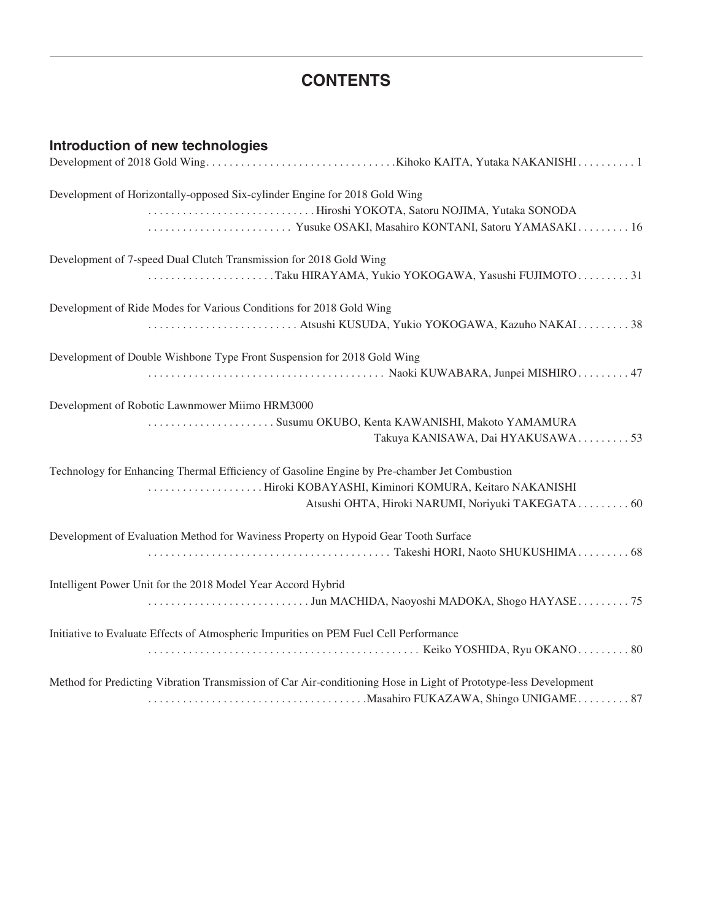## **CONTENTS**

| Introduction of new technologies                                                                                 |
|------------------------------------------------------------------------------------------------------------------|
| Development of Horizontally-opposed Six-cylinder Engine for 2018 Gold Wing                                       |
| Hiroshi YOKOTA, Satoru NOJIMA, Yutaka SONODA<br>Yusuke OSAKI, Masahiro KONTANI, Satoru YAMASAKI16                |
| Development of 7-speed Dual Clutch Transmission for 2018 Gold Wing                                               |
| Taku HIRAYAMA, Yukio YOKOGAWA, Yasushi FUJIMOTO31                                                                |
| Development of Ride Modes for Various Conditions for 2018 Gold Wing                                              |
|                                                                                                                  |
| Development of Double Wishbone Type Front Suspension for 2018 Gold Wing                                          |
|                                                                                                                  |
| Development of Robotic Lawnmower Miimo HRM3000                                                                   |
| Susumu OKUBO, Kenta KAWANISHI, Makoto YAMAMURA<br>Takuya KANISAWA, Dai HYAKUSAWA53                               |
| Technology for Enhancing Thermal Efficiency of Gasoline Engine by Pre-chamber Jet Combustion                     |
| Hiroki KOBAYASHI, Kiminori KOMURA, Keitaro NAKANISHI<br>Atsushi OHTA, Hiroki NARUMI, Noriyuki TAKEGATA 60        |
| Development of Evaluation Method for Waviness Property on Hypoid Gear Tooth Surface                              |
|                                                                                                                  |
| Intelligent Power Unit for the 2018 Model Year Accord Hybrid                                                     |
| Jun MACHIDA, Naoyoshi MADOKA, Shogo HAYASE75                                                                     |
| Initiative to Evaluate Effects of Atmospheric Impurities on PEM Fuel Cell Performance                            |
| Method for Predicting Vibration Transmission of Car Air-conditioning Hose in Light of Prototype-less Development |